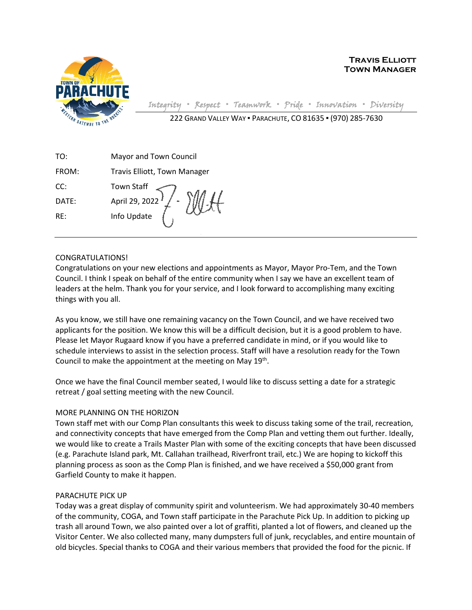

**Travis Elliott Town Manager**

Integrity **▪** Respect **▪** Teamwork **▪** Pride **▪** Innovation **▪** Diversity 222 GRAND VALLEY WAY ▪ PARACHUTE, CO 81635 ▪ (970) 285-7630

| TO:   | Mayor and Town Council                                                     |
|-------|----------------------------------------------------------------------------|
| FROM: | Travis Elliott, Town Manager                                               |
| CC:   | Town Staff $\left\langle \bigcap_{n=1}^{\infty} a_n a_{n+1} \right\rangle$ |

CONGRATULATIONS!

DATE: April 29, 2022 RE: Info Update

Congratulations on your new elections and appointments as Mayor, Mayor Pro-Tem, and the Town Council. I think I speak on behalf of the entire community when I say we have an excellent team of leaders at the helm. Thank you for your service, and I look forward to accomplishing many exciting things with you all.

As you know, we still have one remaining vacancy on the Town Council, and we have received two applicants for the position. We know this will be a difficult decision, but it is a good problem to have. Please let Mayor Rugaard know if you have a preferred candidate in mind, or if you would like to schedule interviews to assist in the selection process. Staff will have a resolution ready for the Town Council to make the appointment at the meeting on May  $19<sup>th</sup>$ .

Once we have the final Council member seated, I would like to discuss setting a date for a strategic retreat / goal setting meeting with the new Council.

## MORE PLANNING ON THE HORIZON

Town staff met with our Comp Plan consultants this week to discuss taking some of the trail, recreation, and connectivity concepts that have emerged from the Comp Plan and vetting them out further. Ideally, we would like to create a Trails Master Plan with some of the exciting concepts that have been discussed (e.g. Parachute Island park, Mt. Callahan trailhead, Riverfront trail, etc.) We are hoping to kickoff this planning process as soon as the Comp Plan is finished, and we have received a \$50,000 grant from Garfield County to make it happen.

## PARACHUTE PICK UP

Today was a great display of community spirit and volunteerism. We had approximately 30-40 members of the community, COGA, and Town staff participate in the Parachute Pick Up. In addition to picking up trash all around Town, we also painted over a lot of graffiti, planted a lot of flowers, and cleaned up the Visitor Center. We also collected many, many dumpsters full of junk, recyclables, and entire mountain of old bicycles. Special thanks to COGA and their various members that provided the food for the picnic. If